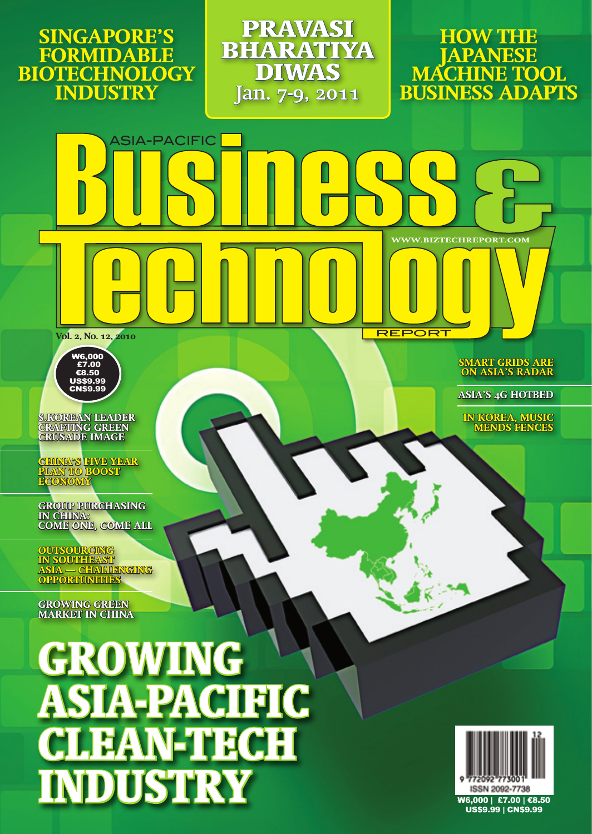**Singapore's Formidable Biotechnology Industry**

asia-pacific

**Pravasi Bharatiya Diwas Jan. 7-9, 2011**

**How the Japanese MACHINE TOOL business adapts** 

 **www.biztechreport.com**

**Smart Grids are on Asia's Radar**

**Asia's 4G Hotbed**

**In Korea, Music Mends Fences**

**REPORT** 

**Vol. 2, No. 12, 2010**



**S.Korean leader crafting green crusade image** 

**China's Five Year Plan to Boost Economy**

**Group Purchasing in China: Come One, Come All** 

**Outsourcing in Southeast Asia — Challenging opportunities**

**Growing Green Market in China**

**GROWING ASIA-PACIFIC CLEAN-TECH INDUSTRY**